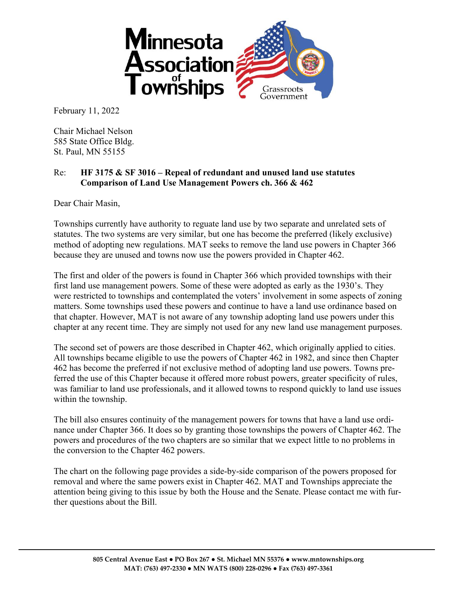

February 11, 2022

Chair Michael Nelson 585 State Office Bldg. St. Paul, MN 55155

## Re: **HF 3175 & SF 3016 – Repeal of redundant and unused land use statutes Comparison of Land Use Management Powers ch. 366 & 462**

Dear Chair Masin,

Townships currently have authority to reguate land use by two separate and unrelated sets of statutes. The two systems are very similar, but one has become the preferred (likely exclusive) method of adopting new regulations. MAT seeks to remove the land use powers in Chapter 366 because they are unused and towns now use the powers provided in Chapter 462.

The first and older of the powers is found in Chapter 366 which provided townships with their first land use management powers. Some of these were adopted as early as the 1930's. They were restricted to townships and contemplated the voters' involvement in some aspects of zoning matters. Some townships used these powers and continue to have a land use ordinance based on that chapter. However, MAT is not aware of any township adopting land use powers under this chapter at any recent time. They are simply not used for any new land use management purposes.

The second set of powers are those described in Chapter 462, which originally applied to cities. All townships became eligible to use the powers of Chapter 462 in 1982, and since then Chapter 462 has become the preferred if not exclusive method of adopting land use powers. Towns preferred the use of this Chapter because it offered more robust powers, greater specificity of rules, was familiar to land use professionals, and it allowed towns to respond quickly to land use issues within the township.

The bill also ensures continuity of the management powers for towns that have a land use ordinance under Chapter 366. It does so by granting those townships the powers of Chapter 462. The powers and procedures of the two chapters are so similar that we expect little to no problems in the conversion to the Chapter 462 powers.

The chart on the following page provides a side-by-side comparison of the powers proposed for removal and where the same powers exist in Chapter 462. MAT and Townships appreciate the attention being giving to this issue by both the House and the Senate. Please contact me with further questions about the Bill.